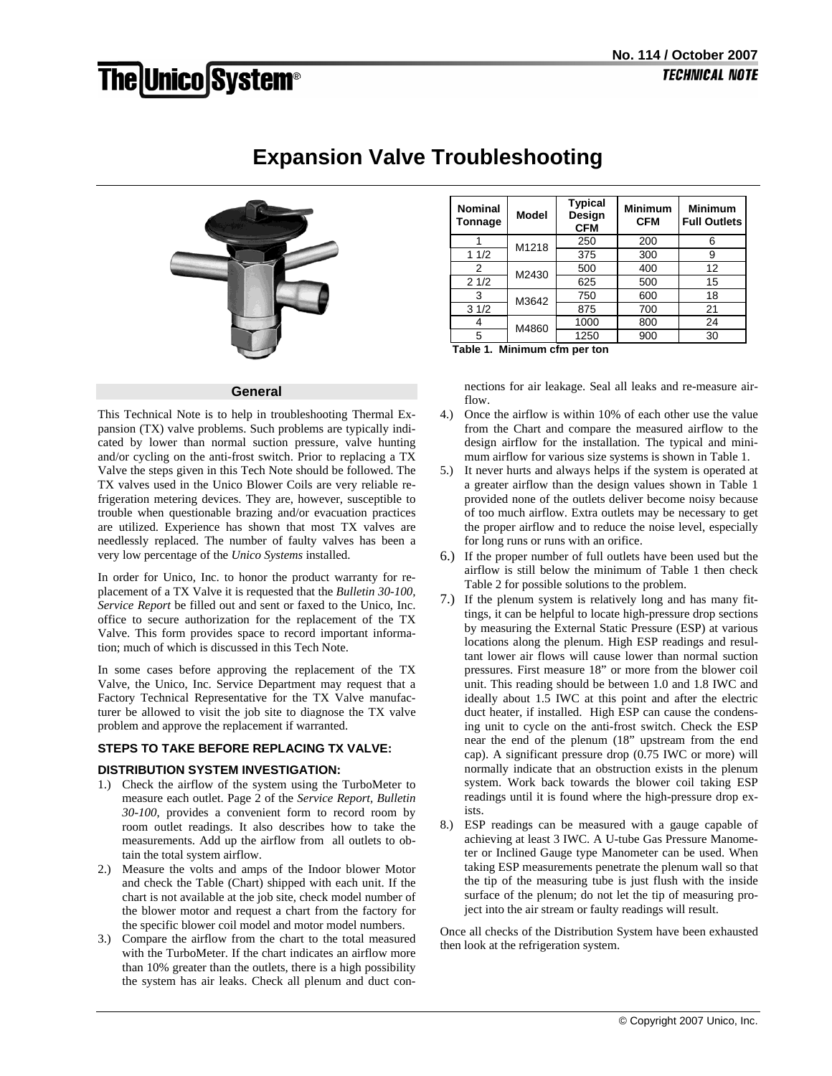# **The Unico System®**



# **Expansion Valve Troubleshooting**

### **General**

This Technical Note is to help in troubleshooting Thermal Expansion (TX) valve problems. Such problems are typically indicated by lower than normal suction pressure, valve hunting and/or cycling on the anti-frost switch. Prior to replacing a TX Valve the steps given in this Tech Note should be followed. The TX valves used in the Unico Blower Coils are very reliable refrigeration metering devices. They are, however, susceptible to trouble when questionable brazing and/or evacuation practices are utilized. Experience has shown that most TX valves are needlessly replaced. The number of faulty valves has been a very low percentage of the *Unico Systems* installed.

In order for Unico, Inc. to honor the product warranty for replacement of a TX Valve it is requested that the *Bulletin 30-100, Service Report* be filled out and sent or faxed to the Unico, Inc. office to secure authorization for the replacement of the TX Valve. This form provides space to record important information; much of which is discussed in this Tech Note.

In some cases before approving the replacement of the TX Valve, the Unico, Inc. Service Department may request that a Factory Technical Representative for the TX Valve manufacturer be allowed to visit the job site to diagnose the TX valve problem and approve the replacement if warranted.

# **STEPS TO TAKE BEFORE REPLACING TX VALVE:**

# **DISTRIBUTION SYSTEM INVESTIGATION:**

- 1.) Check the airflow of the system using the TurboMeter to measure each outlet. Page 2 of the *Service Report, Bulletin 30-100*, provides a convenient form to record room by room outlet readings. It also describes how to take the measurements. Add up the airflow from all outlets to obtain the total system airflow.
- 2.) Measure the volts and amps of the Indoor blower Motor and check the Table (Chart) shipped with each unit. If the chart is not available at the job site, check model number of the blower motor and request a chart from the factory for the specific blower coil model and motor model numbers.
- 3.) Compare the airflow from the chart to the total measured with the TurboMeter. If the chart indicates an airflow more than 10% greater than the outlets, there is a high possibility the system has air leaks. Check all plenum and duct con-

| <b>Nominal</b><br>Tonnage | <b>Model</b> | <b>Typical</b><br>Design<br><b>CFM</b> | <b>Minimum</b><br><b>CFM</b> | <b>Minimum</b><br><b>Full Outlets</b> |
|---------------------------|--------------|----------------------------------------|------------------------------|---------------------------------------|
|                           | M1218        | 250                                    | 200                          | 6                                     |
| 11/2                      |              | 375                                    | 300                          | 9                                     |
| 2                         | M2430        | 500                                    | 400                          | 12                                    |
| 21/2                      |              | 625                                    | 500                          | 15                                    |
| 3                         | M3642        | 750                                    | 600                          | 18                                    |
| 31/2                      |              | 875                                    | 700                          | 21                                    |
|                           | M4860        | 1000                                   | 800                          | 24                                    |
| 5                         |              | 1250                                   | 900                          | 30                                    |

**Table 1. Minimum cfm per ton**

nections for air leakage. Seal all leaks and re-measure airflow.

- 4.) Once the airflow is within 10% of each other use the value from the Chart and compare the measured airflow to the design airflow for the installation. The typical and minimum airflow for various size systems is shown in Table 1.
- 5.) It never hurts and always helps if the system is operated at a greater airflow than the design values shown in Table 1 provided none of the outlets deliver become noisy because of too much airflow. Extra outlets may be necessary to get the proper airflow and to reduce the noise level, especially for long runs or runs with an orifice.
- 6.) If the proper number of full outlets have been used but the airflow is still below the minimum of Table 1 then check Table 2 for possible solutions to the problem.
- 7.) If the plenum system is relatively long and has many fittings, it can be helpful to locate high-pressure drop sections by measuring the External Static Pressure (ESP) at various locations along the plenum. High ESP readings and resultant lower air flows will cause lower than normal suction pressures. First measure 18" or more from the blower coil unit. This reading should be between 1.0 and 1.8 IWC and ideally about 1.5 IWC at this point and after the electric duct heater, if installed. High ESP can cause the condensing unit to cycle on the anti-frost switch. Check the ESP near the end of the plenum (18" upstream from the end cap). A significant pressure drop (0.75 IWC or more) will normally indicate that an obstruction exists in the plenum system. Work back towards the blower coil taking ESP readings until it is found where the high-pressure drop exists.
- 8.) ESP readings can be measured with a gauge capable of achieving at least 3 IWC. A U-tube Gas Pressure Manometer or Inclined Gauge type Manometer can be used. When taking ESP measurements penetrate the plenum wall so that the tip of the measuring tube is just flush with the inside surface of the plenum; do not let the tip of measuring project into the air stream or faulty readings will result.

Once all checks of the Distribution System have been exhausted then look at the refrigeration system.